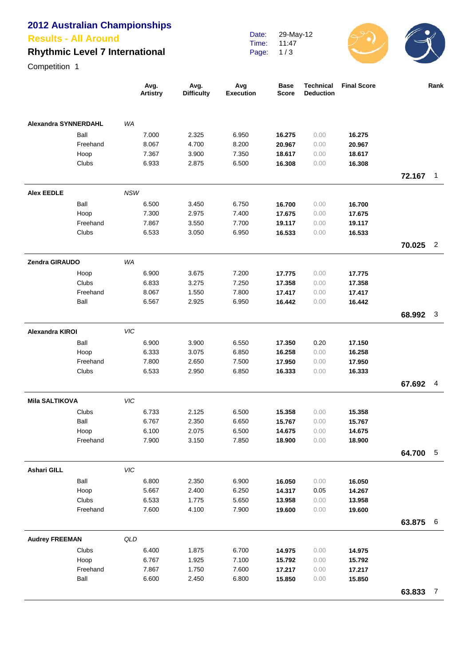# **2012 Australian Championships**

#### **Results - All Around**

## **Rhythmic Level 7 International**

Date: Time: Page: 29-May-12 11:47 1 / 3



Competition 1

|                             |                  | Avg.<br><b>Artistry</b> | Avg.<br><b>Difficulty</b> | Avg<br><b>Execution</b> | <b>Base</b><br><b>Score</b> | <b>Technical</b><br><b>Deduction</b> | <b>Final Score</b> |        | Rank           |
|-----------------------------|------------------|-------------------------|---------------------------|-------------------------|-----------------------------|--------------------------------------|--------------------|--------|----------------|
| <b>Alexandra SYNNERDAHL</b> |                  | WA                      |                           |                         |                             |                                      |                    |        |                |
|                             | Ball             | 7.000                   | 2.325                     | 6.950                   | 16.275                      | 0.00                                 | 16.275             |        |                |
|                             | Freehand         | 8.067                   | 4.700                     | 8.200                   | 20.967                      | 0.00                                 | 20.967             |        |                |
|                             | Hoop             | 7.367                   | 3.900                     | 7.350                   | 18.617                      | 0.00                                 | 18.617             |        |                |
|                             | <b>Clubs</b>     | 6.933                   | 2.875                     | 6.500                   | 16.308                      | 0.00                                 | 16.308             |        |                |
|                             |                  |                         |                           |                         |                             |                                      |                    | 72.167 | $\mathbf{1}$   |
| <b>Alex EEDLE</b>           |                  | <b>NSW</b>              |                           |                         |                             |                                      |                    |        |                |
|                             | Ball             | 6.500                   | 3.450                     | 6.750                   | 16.700                      | 0.00                                 | 16.700             |        |                |
|                             | Hoop             | 7.300                   | 2.975                     | 7.400                   | 17.675                      | 0.00                                 | 17.675             |        |                |
|                             | Freehand         | 7.867                   | 3.550                     | 7.700                   | 19.117                      | 0.00                                 | 19.117             |        |                |
|                             | Clubs            | 6.533                   | 3.050                     | 6.950                   | 16.533                      | 0.00                                 | 16.533             |        |                |
|                             |                  |                         |                           |                         |                             |                                      |                    | 70.025 | $\overline{2}$ |
| Zendra GIRAUDO              |                  | WA                      |                           |                         |                             |                                      |                    |        |                |
|                             | Hoop             | 6.900                   | 3.675                     | 7.200                   | 17.775                      | 0.00                                 | 17.775             |        |                |
|                             | Clubs            | 6.833                   | 3.275                     | 7.250                   | 17.358                      | 0.00                                 | 17.358             |        |                |
|                             | Freehand         | 8.067                   | 1.550                     | 7.800                   | 17.417                      | 0.00                                 | 17.417             |        |                |
|                             | Ball             | 6.567                   | 2.925                     | 6.950                   | 16.442                      | 0.00                                 | 16.442             |        |                |
|                             |                  |                         |                           |                         |                             |                                      |                    | 68.992 | $\mathbf{3}$   |
| <b>Alexandra KIROI</b>      |                  | VIC                     |                           |                         |                             |                                      |                    |        |                |
|                             | Ball             | 6.900                   | 3.900                     | 6.550                   | 17.350                      | 0.20                                 | 17.150             |        |                |
|                             | Hoop<br>Freehand | 6.333<br>7.800          | 3.075<br>2.650            | 6.850<br>7.500          | 16.258                      | 0.00<br>0.00                         | 16.258             |        |                |
|                             | Clubs            | 6.533                   | 2.950                     | 6.850                   | 17.950<br>16.333            | 0.00                                 | 17.950<br>16.333   |        |                |
|                             |                  |                         |                           |                         |                             |                                      |                    | 67.692 | $\overline{4}$ |
| <b>Mila SALTIKOVA</b>       |                  | VIC                     |                           |                         |                             |                                      |                    |        |                |
|                             | Clubs            | 6.733                   | 2.125                     | 6.500                   | 15.358                      | 0.00                                 | 15.358             |        |                |
|                             | Ball             | 6.767                   | 2.350                     | 6.650                   | 15.767                      | 0.00                                 | 15.767             |        |                |
|                             | Hoop             | 6.100                   | 2.075                     | 6.500                   | 14.675                      | 0.00                                 | 14.675             |        |                |
|                             | Freehand         | 7.900                   | 3.150                     | 7.850                   | 18.900                      | 0.00                                 | 18.900             |        |                |
|                             |                  |                         |                           |                         |                             |                                      |                    | 64.700 | $-5$           |
| <b>Ashari GILL</b>          |                  | VIC                     |                           |                         |                             |                                      |                    |        |                |
|                             | Ball             | 6.800                   | 2.350                     | 6.900                   | 16.050                      | 0.00                                 | 16.050             |        |                |
|                             | Hoop             | 5.667                   | 2.400                     | 6.250                   | 14.317                      | 0.05                                 | 14.267             |        |                |
|                             | Clubs            | 6.533                   | 1.775                     | 5.650                   | 13.958                      | 0.00                                 | 13.958             |        |                |
|                             | Freehand         | 7.600                   | 4.100                     | 7.900                   | 19.600                      | 0.00                                 | 19.600             |        |                |
|                             |                  |                         |                           |                         |                             |                                      |                    | 63.875 | 6              |
| <b>Audrey FREEMAN</b>       |                  | QLD                     |                           |                         |                             |                                      |                    |        |                |
|                             | Clubs            | 6.400                   | 1.875                     | 6.700                   | 14.975                      | 0.00                                 | 14.975             |        |                |
|                             | Hoop             | 6.767                   | 1.925                     | 7.100                   | 15.792                      | 0.00                                 | 15.792             |        |                |
|                             | Freehand         | 7.867                   | 1.750                     | 7.600                   | 17.217                      | 0.00                                 | 17.217             |        |                |
|                             | Ball             | 6.600                   | 2.450                     | 6.800                   | 15.850                      | 0.00                                 | 15.850             |        |                |
|                             |                  |                         |                           |                         |                             |                                      |                    | 63.833 | $\overline{7}$ |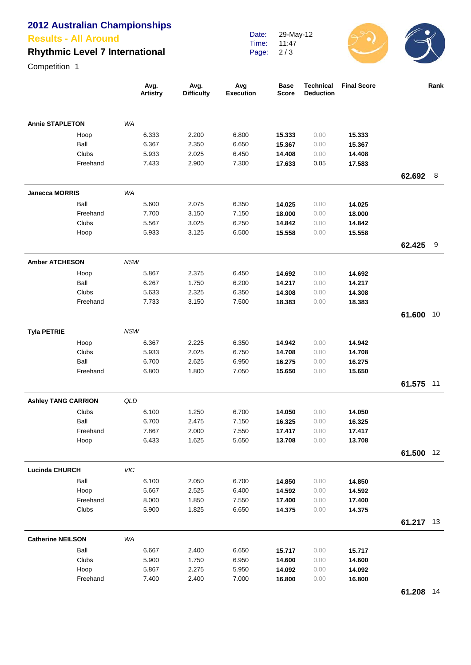# **2012 Australian Championships**

**Results - All Around**

## **Rhythmic Level 7 International**

Date: Time: Page: 29-May-12 11:47 2 / 3



Competition 1

|                            |          | Avg.<br>Artistry | Avg.<br><b>Difficulty</b> | Avg<br><b>Execution</b> | <b>Base</b><br>Score | <b>Technical</b><br><b>Deduction</b> | <b>Final Score</b> |           | Rank |
|----------------------------|----------|------------------|---------------------------|-------------------------|----------------------|--------------------------------------|--------------------|-----------|------|
| <b>Annie STAPLETON</b>     |          | WA               |                           |                         |                      |                                      |                    |           |      |
|                            | Hoop     | 6.333            | 2.200                     | 6.800                   | 15.333               | 0.00                                 | 15.333             |           |      |
|                            | Ball     | 6.367            | 2.350                     | 6.650                   | 15.367               | 0.00                                 | 15.367             |           |      |
|                            | Clubs    | 5.933            | 2.025                     | 6.450                   | 14.408               | 0.00                                 | 14.408             |           |      |
|                            | Freehand | 7.433            | 2.900                     | 7.300                   | 17.633               | 0.05                                 | 17.583             |           |      |
|                            |          |                  |                           |                         |                      |                                      |                    | 62.692    | 8    |
| <b>Janecca MORRIS</b>      |          | WA               |                           |                         |                      |                                      |                    |           |      |
|                            | Ball     | 5.600            | 2.075                     | 6.350                   | 14.025               | 0.00                                 | 14.025             |           |      |
|                            | Freehand | 7.700            | 3.150                     | 7.150                   | 18.000               | 0.00                                 | 18.000             |           |      |
|                            | Clubs    | 5.567            | 3.025                     | 6.250                   | 14.842               | 0.00                                 | 14.842             |           |      |
|                            | Hoop     | 5.933            | 3.125                     | 6.500                   | 15.558               | 0.00                                 | 15.558             |           |      |
|                            |          |                  |                           |                         |                      |                                      |                    | 62.425    | 9    |
| <b>Amber ATCHESON</b>      |          | <b>NSW</b>       |                           |                         |                      |                                      |                    |           |      |
|                            | Hoop     | 5.867            | 2.375                     | 6.450                   | 14.692               | 0.00                                 | 14.692             |           |      |
|                            | Ball     | 6.267            | 1.750                     | 6.200                   | 14.217               | 0.00                                 | 14.217             |           |      |
|                            | Clubs    | 5.633            | 2.325                     | 6.350                   | 14.308               | 0.00                                 | 14.308             |           |      |
|                            | Freehand | 7.733            | 3.150                     | 7.500                   | 18.383               | 0.00                                 | 18.383             |           |      |
|                            |          |                  |                           |                         |                      |                                      |                    | 61.600    | 10   |
| <b>Tyla PETRIE</b>         |          | <b>NSW</b>       |                           |                         |                      |                                      |                    |           |      |
|                            | Hoop     | 6.367            | 2.225                     | 6.350                   | 14.942               | 0.00                                 | 14.942             |           |      |
|                            | Clubs    | 5.933            | 2.025                     | 6.750                   | 14.708               | 0.00                                 | 14.708             |           |      |
|                            | Ball     | 6.700            | 2.625                     | 6.950                   | 16.275               | 0.00                                 | 16.275             |           |      |
|                            | Freehand | 6.800            | 1.800                     | 7.050                   | 15.650               | 0.00                                 | 15.650             |           |      |
|                            |          |                  |                           |                         |                      |                                      |                    | 61.575    | 11   |
| <b>Ashley TANG CARRION</b> |          | QLD              |                           |                         |                      |                                      |                    |           |      |
|                            | Clubs    | 6.100            | 1.250                     | 6.700                   | 14.050               | 0.00                                 | 14.050             |           |      |
|                            | Ball     | 6.700            | 2.475                     | 7.150                   | 16.325               | 0.00                                 | 16.325             |           |      |
|                            | Freehand | 7.867            | 2.000                     | 7.550                   | 17.417               | 0.00                                 | 17.417             |           |      |
|                            | Hoop     | 6.433            | 1.625                     | 5.650                   | 13.708               | 0.00                                 | 13.708             |           |      |
|                            |          |                  |                           |                         |                      |                                      |                    | 61.500    | 12   |
| <b>Lucinda CHURCH</b>      |          | VIC              |                           |                         |                      |                                      |                    |           |      |
|                            | Ball     | 6.100            | 2.050                     | 6.700                   | 14.850               | 0.00                                 | 14.850             |           |      |
|                            | Hoop     | 5.667            | 2.525                     | 6.400                   | 14.592               | 0.00                                 | 14.592             |           |      |
|                            | Freehand | 8.000            | 1.850                     | 7.550                   | 17.400               | 0.00                                 | 17.400             |           |      |
|                            | Clubs    | 5.900            | 1.825                     | 6.650                   | 14.375               | 0.00                                 | 14.375             | 61.217 13 |      |
|                            |          |                  |                           |                         |                      |                                      |                    |           |      |
| <b>Catherine NEILSON</b>   | Ball     | WA               |                           |                         |                      |                                      |                    |           |      |
|                            | Clubs    | 6.667<br>5.900   | 2.400<br>1.750            | 6.650<br>6.950          | 15.717<br>14.600     | 0.00<br>0.00                         | 15.717<br>14.600   |           |      |
|                            | Hoop     | 5.867            | 2.275                     | 5.950                   | 14.092               | 0.00                                 | 14.092             |           |      |
|                            | Freehand | 7.400            | 2.400                     | 7.000                   | 16.800               | 0.00                                 | 16.800             |           |      |
|                            |          |                  |                           |                         |                      |                                      |                    | 61.208 14 |      |
|                            |          |                  |                           |                         |                      |                                      |                    |           |      |